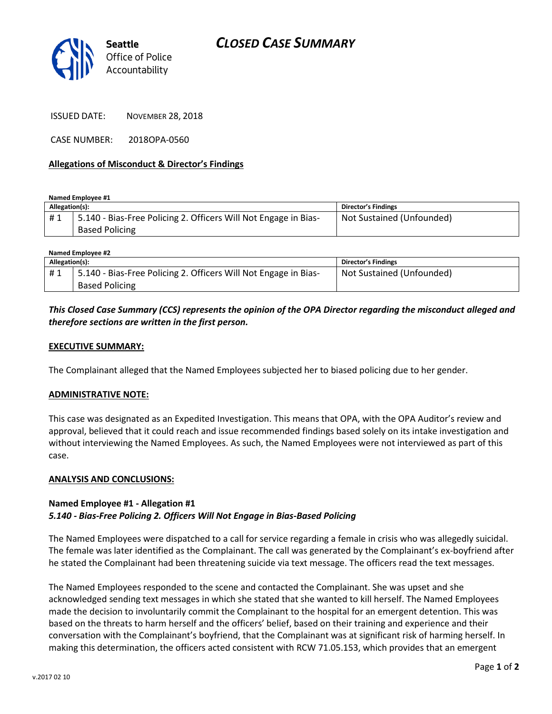

ISSUED DATE: NOVEMBER 28, 2018

CASE NUMBER: 2018OPA-0560

## **Allegations of Misconduct & Director's Findings**

**Named Employee #1**

| Allegation(s): |                                                                                          | Director's Findings       |
|----------------|------------------------------------------------------------------------------------------|---------------------------|
| #1             | 5.140 - Bias-Free Policing 2. Officers Will Not Engage in Bias-<br><b>Based Policing</b> | Not Sustained (Unfounded) |
|                |                                                                                          |                           |

| Named Employee #2 |                                                                 |                           |  |
|-------------------|-----------------------------------------------------------------|---------------------------|--|
| Allegation(s):    |                                                                 | Director's Findings       |  |
| #1                | 5.140 - Bias-Free Policing 2. Officers Will Not Engage in Bias- | Not Sustained (Unfounded) |  |
|                   | <b>Based Policing</b>                                           |                           |  |

# *This Closed Case Summary (CCS) represents the opinion of the OPA Director regarding the misconduct alleged and therefore sections are written in the first person.*

## **EXECUTIVE SUMMARY:**

The Complainant alleged that the Named Employees subjected her to biased policing due to her gender.

#### **ADMINISTRATIVE NOTE:**

This case was designated as an Expedited Investigation. This means that OPA, with the OPA Auditor's review and approval, believed that it could reach and issue recommended findings based solely on its intake investigation and without interviewing the Named Employees. As such, the Named Employees were not interviewed as part of this case.

#### **ANALYSIS AND CONCLUSIONS:**

## **Named Employee #1 - Allegation #1** *5.140 - Bias-Free Policing 2. Officers Will Not Engage in Bias-Based Policing*

The Named Employees were dispatched to a call for service regarding a female in crisis who was allegedly suicidal. The female was later identified as the Complainant. The call was generated by the Complainant's ex-boyfriend after he stated the Complainant had been threatening suicide via text message. The officers read the text messages.

The Named Employees responded to the scene and contacted the Complainant. She was upset and she acknowledged sending text messages in which she stated that she wanted to kill herself. The Named Employees made the decision to involuntarily commit the Complainant to the hospital for an emergent detention. This was based on the threats to harm herself and the officers' belief, based on their training and experience and their conversation with the Complainant's boyfriend, that the Complainant was at significant risk of harming herself. In making this determination, the officers acted consistent with RCW 71.05.153, which provides that an emergent